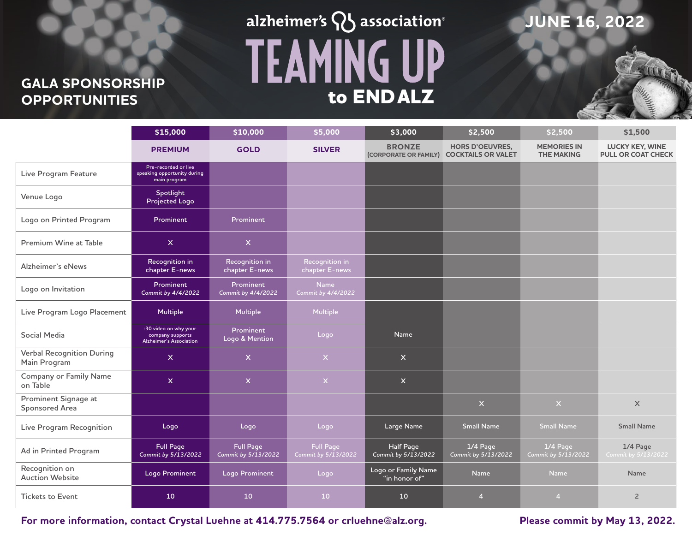# **GALA SPONSORSHIP**

# alzheimer's  $\mathsf{Q}$  association® **TEAMING UP OPPORTUNITIES to END ALZ**

### **JUNE 16, 2022**

|                                                  | \$15,000                                                                    | \$10,000                                | \$5,000                                 | \$3,000                                | \$2,500                                             | \$2,500                                 | \$1,500                                             |
|--------------------------------------------------|-----------------------------------------------------------------------------|-----------------------------------------|-----------------------------------------|----------------------------------------|-----------------------------------------------------|-----------------------------------------|-----------------------------------------------------|
|                                                  | <b>PREMIUM</b>                                                              | <b>GOLD</b>                             | <b>SILVER</b>                           | <b>BRONZE</b><br>(CORPORATE OR FAMILY) | <b>HORS D'OEUVRES,</b><br><b>COCKTAILS OR VALET</b> | <b>MEMORIES IN</b><br><b>THE MAKING</b> | <b>LUCKY KEY, WINE</b><br><b>PULL OR COAT CHECK</b> |
| Live Program Feature                             | Pre-recorded or live<br>speaking opportunity during<br>main program         |                                         |                                         |                                        |                                                     |                                         |                                                     |
| Venue Logo                                       | Spotlight<br>Projected Logo                                                 |                                         |                                         |                                        |                                                     |                                         |                                                     |
| Logo on Printed Program                          | Prominent                                                                   | Prominent                               |                                         |                                        |                                                     |                                         |                                                     |
| Premium Wine at Table                            | $\mathsf{x}$                                                                | $\mathsf{X}$                            |                                         |                                        |                                                     |                                         |                                                     |
| Alzheimer's eNews                                | Recognition in<br>chapter E-news                                            | Recognition in<br>chapter E-news        | Recognition in<br>chapter E-news        |                                        |                                                     |                                         |                                                     |
| Logo on Invitation                               | Prominent<br>Commit by 4/4/2022                                             | Prominent<br>Commit by 4/4/2022         | <b>Name</b><br>Commit by 4/4/2022       |                                        |                                                     |                                         |                                                     |
| Live Program Logo Placement                      | <b>Multiple</b>                                                             | Multiple                                | <b>Multiple</b>                         |                                        |                                                     |                                         |                                                     |
| Social Media                                     | :30 video on why your<br>company supports<br><b>Alzheimer's Association</b> | Prominent<br>Logo & Mention             | Logo                                    | <b>Name</b>                            |                                                     |                                         |                                                     |
| <b>Verbal Recognition During</b><br>Main Program | $\mathsf{x}$                                                                | $\mathsf{X}$                            | $\mathsf X$                             | $\mathsf{x}$                           |                                                     |                                         |                                                     |
| <b>Company or Family Name</b><br>on Table        | $\mathsf{x}$                                                                | $\overline{\mathsf{x}}$                 | $\mathsf{X}^{\scriptscriptstyle{+}}$    | $\mathsf{X}$                           |                                                     |                                         |                                                     |
| Prominent Signage at<br>Sponsored Area           |                                                                             |                                         |                                         |                                        | $\mathsf X$                                         | $\bar{\mathsf{X}}$                      | $\mathsf X$                                         |
| Live Program Recognition                         | Logo                                                                        | Logo                                    | Logo                                    | Large Name                             | <b>Small Name</b>                                   | <b>Small Name</b>                       | <b>Small Name</b>                                   |
| Ad in Printed Program                            | <b>Full Page</b><br>Commit by 5/13/2022                                     | <b>Full Page</b><br>Commit by 5/13/2022 | <b>Full Page</b><br>Commit by 5/13/2022 | Half Page<br>Commit by 5/13/2022       | 1/4 Page<br>Commit by 5/13/2022                     | 1/4 Page<br>Commit by 5/13/2022         | 1/4 Page<br>Commit by 5/13/2022                     |
| Recognition on<br><b>Auction Website</b>         | <b>Logo Prominent</b>                                                       | Logo Prominent                          | Logo                                    | Logo or Family Name<br>"in honor of"   | <b>Name</b>                                         | Name                                    | Name                                                |
| <b>Tickets to Event</b>                          | 10                                                                          | 10                                      | 10 <sup>°</sup>                         | 10                                     | $\overline{4}$                                      | $\overline{4}$                          | $\overline{2}$                                      |

**For more information, contact Crystal Luehne at 414.775.7564 or crluehne@alz.org. Please commit by May 13, 2022.**